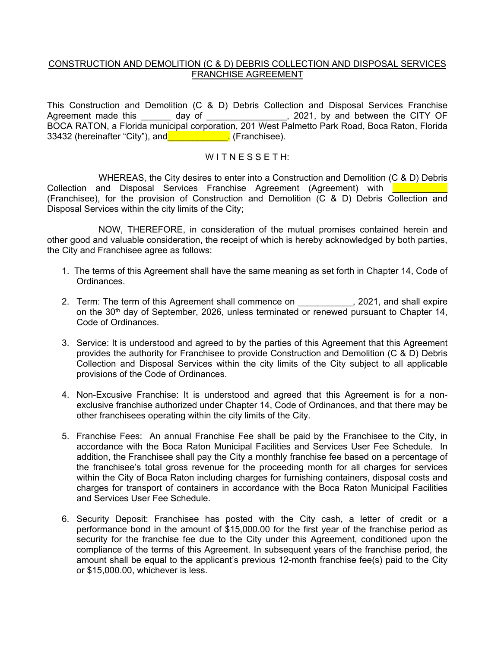## CONSTRUCTION AND DEMOLITION (C & D) DEBRIS COLLECTION AND DISPOSAL SERVICES FRANCHISE AGREEMENT

This Construction and Demolition (C & D) Debris Collection and Disposal Services Franchise Agreement made this \_\_\_\_\_\_ day of \_\_\_\_\_\_\_\_\_\_\_\_\_\_\_\_, 2021, by and between the CITY OF BOCA RATON, a Florida municipal corporation, 201 West Palmetto Park Road, Boca Raton, Florida 33432 (hereinafter "City"), and **Example 2018** (Franchisee).

## WITNESSETH:

 $\frac{1}{\sqrt{2}}$  , where  $\frac{1}{\sqrt{2}}$  , where  $\frac{1}{\sqrt{2}}$ WHEREAS, the City desires to enter into a Construction and Demolition (C & D) Debris Collection and Disposal Services Franchise Agreement (Agreement) with (Franchisee), for the provision of Construction and Demolition (C & D) Debris Collection and Disposal Services within the city limits of the City;

NOW, THEREFORE, in consideration of the mutual promises contained herein and other good and valuable consideration, the receipt of which is hereby acknowledged by both parties, the City and Franchisee agree as follows:

- 1. The terms of this Agreement shall have the same meaning as set forth in Chapter 14, Code of **Ordinances**
- 2. Term: The term of this Agreement shall commence on  $\hspace{1.5cm}$ , 2021, and shall expire on the 30<sup>th</sup> day of September, 2026, unless terminated or renewed pursuant to Chapter 14, Code of Ordinances.
- provides the authority for Franchisee to provide Construction and Demolition (C & D) Debris Collection and Disposal Services within the city limits of the City subject to all applicable 3. Service: It is understood and agreed to by the parties of this Agreement that this Agreement provisions of the Code of Ordinances.
- 4. Non-Excusive Franchise: It is understood and agreed that this Agreement is for a nonexclusive franchise authorized under Chapter 14, Code of Ordinances, and that there may be other franchisees operating within the city limits of the City.
- accordance with the Boca Raton Municipal Facilities and Services User Fee Schedule. In within the City of Boca Raton including charges for furnishing containers, disposal costs and charges for transport of containers in accordance with the Boca Raton Municipal Facilities and Services User Fee Schedule. 5. Franchise Fees: An annual Franchise Fee shall be paid by the Franchisee to the City, in addition, the Franchisee shall pay the City a monthly franchise fee based on a percentage of the franchisee's total gross revenue for the proceeding month for all charges for services
- 6. Security Deposit: Franchisee has posted with the City cash, a letter of credit or a performance bond in the amount of \$15,000.00 for the first year of the franchise period as security for the franchise fee due to the City under this Agreement, conditioned upon the compliance of the terms of this Agreement. In subsequent years of the franchise period, the amount shall be equal to the applicant's previous 12-month franchise fee(s) paid to the City or \$15,000.00, whichever is less.